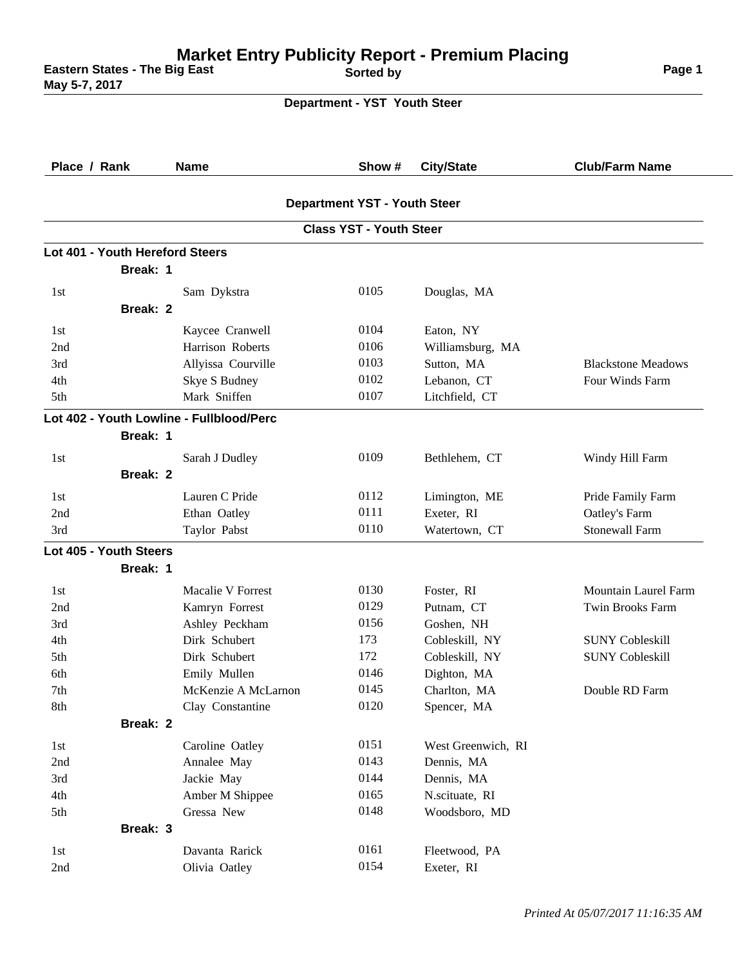**May 5-7, 2017**

|  |  | Department - YST Youth Steer |  |
|--|--|------------------------------|--|
|--|--|------------------------------|--|

| Place / Rank |                                 | <b>Name</b>                              | Show #                              | <b>City/State</b>  | <b>Club/Farm Name</b>     |
|--------------|---------------------------------|------------------------------------------|-------------------------------------|--------------------|---------------------------|
|              |                                 |                                          | <b>Department YST - Youth Steer</b> |                    |                           |
|              |                                 |                                          | <b>Class YST - Youth Steer</b>      |                    |                           |
|              | Lot 401 - Youth Hereford Steers |                                          |                                     |                    |                           |
|              | Break: 1                        |                                          |                                     |                    |                           |
| 1st          |                                 | Sam Dykstra                              | 0105                                | Douglas, MA        |                           |
|              | Break: 2                        |                                          |                                     |                    |                           |
| 1st          |                                 | Kaycee Cranwell                          | 0104                                | Eaton, NY          |                           |
| 2nd          |                                 | Harrison Roberts                         | 0106                                | Williamsburg, MA   |                           |
| 3rd          |                                 | Allyissa Courville                       | 0103                                | Sutton, MA         | <b>Blackstone Meadows</b> |
| 4th          |                                 | Skye S Budney                            | 0102                                | Lebanon, CT        | Four Winds Farm           |
| 5th          |                                 | Mark Sniffen                             | 0107                                | Litchfield, CT     |                           |
|              |                                 | Lot 402 - Youth Lowline - Fullblood/Perc |                                     |                    |                           |
|              | Break: 1                        |                                          |                                     |                    |                           |
| 1st          |                                 | Sarah J Dudley                           | 0109                                | Bethlehem, CT      | Windy Hill Farm           |
|              | Break: 2                        |                                          |                                     |                    |                           |
| 1st          |                                 | Lauren C Pride                           | 0112                                | Limington, ME      | Pride Family Farm         |
| 2nd          |                                 | Ethan Oatley                             | 0111                                | Exeter, RI         | Oatley's Farm             |
| 3rd          |                                 | Taylor Pabst                             | 0110                                | Watertown, CT      | <b>Stonewall Farm</b>     |
|              | Lot 405 - Youth Steers          |                                          |                                     |                    |                           |
|              | Break: 1                        |                                          |                                     |                    |                           |
| 1st          |                                 | <b>Macalie V Forrest</b>                 | 0130                                | Foster, RI         | Mountain Laurel Farm      |
| 2nd          |                                 | Kamryn Forrest                           | 0129                                | Putnam, CT         | Twin Brooks Farm          |
| 3rd          |                                 | Ashley Peckham                           | 0156                                | Goshen, NH         |                           |
| 4th          |                                 | Dirk Schubert                            | 173                                 | Cobleskill, NY     | <b>SUNY Cobleskill</b>    |
| 5th          |                                 | Dirk Schubert                            | 172                                 | Cobleskill, NY     | <b>SUNY Cobleskill</b>    |
| 6th          |                                 | Emily Mullen                             | 0146                                | Dighton, MA        |                           |
| 7th          |                                 | McKenzie A McLarnon                      | 0145                                | Charlton, MA       | Double RD Farm            |
| 8th          |                                 | Clay Constantine                         | 0120                                | Spencer, MA        |                           |
|              | Break: 2                        |                                          |                                     |                    |                           |
| 1st          |                                 | Caroline Oatley                          | 0151                                | West Greenwich, RI |                           |
| 2nd          |                                 | Annalee May                              | 0143                                | Dennis, MA         |                           |
| 3rd          |                                 | Jackie May                               | 0144                                | Dennis, MA         |                           |
| 4th          |                                 | Amber M Shippee                          | 0165                                | N.scituate, RI     |                           |
| 5th          |                                 | Gressa New                               | 0148                                | Woodsboro, MD      |                           |
|              | Break: 3                        |                                          |                                     |                    |                           |
| 1st          |                                 | Davanta Rarick                           | 0161                                | Fleetwood, PA      |                           |
| 2nd          |                                 | Olivia Oatley                            | 0154                                | Exeter, RI         |                           |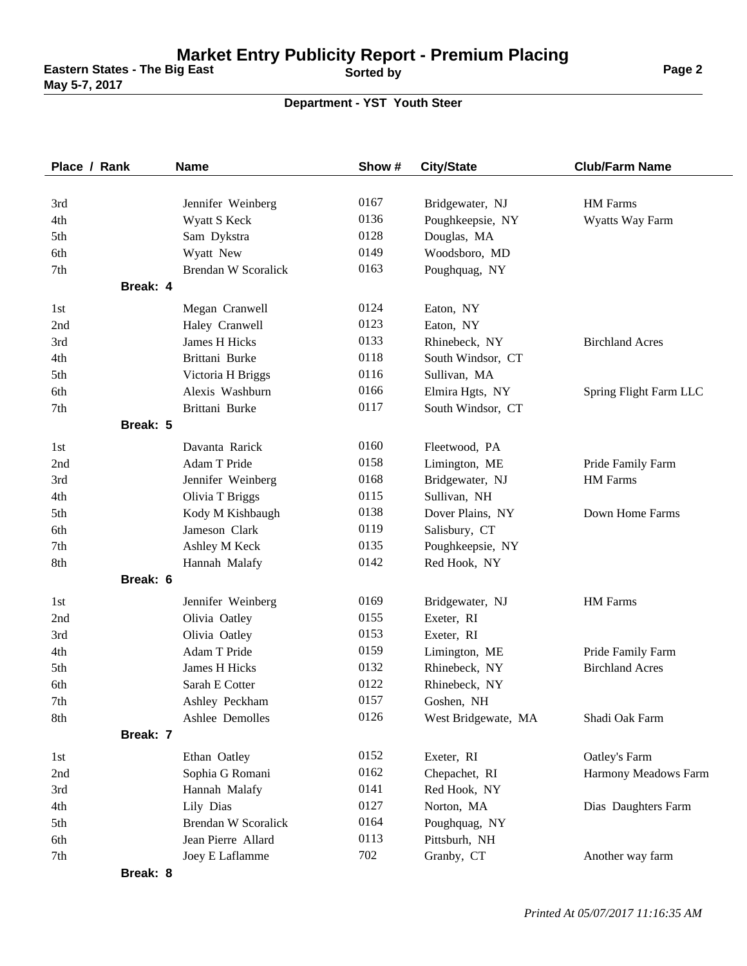|                                      | <b>INCHAST CHILLY LADINGLY REPU</b> |
|--------------------------------------|-------------------------------------|
| <b>Eastern States - The Big East</b> | <b>Sorted by</b>                    |
| May 5-7, 2017                        |                                     |

## **Department - YST Youth Steer**

| Place / Rank | <b>Name</b>                | Show # | <b>City/State</b>   | <b>Club/Farm Name</b>  |
|--------------|----------------------------|--------|---------------------|------------------------|
|              |                            |        |                     |                        |
| 3rd          | Jennifer Weinberg          | 0167   | Bridgewater, NJ     | HM Farms               |
| 4th          | Wyatt S Keck               | 0136   | Poughkeepsie, NY    | Wyatts Way Farm        |
| 5th          | Sam Dykstra                | 0128   | Douglas, MA         |                        |
| 6th          | Wyatt New                  | 0149   | Woodsboro, MD       |                        |
| 7th          | <b>Brendan W Scoralick</b> | 0163   | Poughquag, NY       |                        |
| Break: 4     |                            |        |                     |                        |
| 1st          | Megan Cranwell             | 0124   | Eaton, NY           |                        |
| 2nd          | Haley Cranwell             | 0123   | Eaton, NY           |                        |
| 3rd          | <b>James H Hicks</b>       | 0133   | Rhinebeck, NY       | <b>Birchland Acres</b> |
| 4th          | Brittani Burke             | 0118   | South Windsor, CT   |                        |
| 5th          | Victoria H Briggs          | 0116   | Sullivan, MA        |                        |
| 6th          | Alexis Washburn            | 0166   | Elmira Hgts, NY     | Spring Flight Farm LLC |
| 7th          | Brittani Burke             | 0117   | South Windsor, CT   |                        |
| Break: 5     |                            |        |                     |                        |
| 1st          | Davanta Rarick             | 0160   | Fleetwood, PA       |                        |
| 2nd          | Adam T Pride               | 0158   | Limington, ME       | Pride Family Farm      |
| 3rd          | Jennifer Weinberg          | 0168   | Bridgewater, NJ     | HM Farms               |
| 4th          | Olivia T Briggs            | 0115   | Sullivan, NH        |                        |
| 5th          | Kody M Kishbaugh           | 0138   | Dover Plains, NY    | Down Home Farms        |
| 6th          | Jameson Clark              | 0119   | Salisbury, CT       |                        |
| 7th          | Ashley M Keck              | 0135   | Poughkeepsie, NY    |                        |
| 8th          | Hannah Malafy              | 0142   | Red Hook, NY        |                        |
| Break: 6     |                            |        |                     |                        |
| 1st          | Jennifer Weinberg          | 0169   | Bridgewater, NJ     | HM Farms               |
| 2nd          | Olivia Oatley              | 0155   | Exeter, RI          |                        |
| 3rd          | Olivia Oatley              | 0153   | Exeter, RI          |                        |
| 4th          | Adam T Pride               | 0159   | Limington, ME       | Pride Family Farm      |
| 5th          | James H Hicks              | 0132   | Rhinebeck, NY       | <b>Birchland Acres</b> |
| 6th          | Sarah E Cotter             | 0122   | Rhinebeck, NY       |                        |
| 7th          | Ashley Peckham             | 0157   | Goshen, NH          |                        |
| 8th          | Ashlee Demolles            | 0126   | West Bridgewate, MA | Shadi Oak Farm         |
| Break: 7     |                            |        |                     |                        |
| 1st          | Ethan Oatley               | 0152   | Exeter, RI          | Oatley's Farm          |
| 2nd          | Sophia G Romani            | 0162   | Chepachet, RI       | Harmony Meadows Farm   |
| 3rd          | Hannah Malafy              | 0141   | Red Hook, NY        |                        |
| 4th          | Lily Dias                  | 0127   | Norton, MA          | Dias Daughters Farm    |
| 5th          | <b>Brendan W Scoralick</b> | 0164   | Poughquag, NY       |                        |
| 6th          | Jean Pierre Allard         | 0113   | Pittsburh, NH       |                        |
| 7th          | Joey E Laflamme            | 702    | Granby, CT          | Another way farm       |
| Break: 8     |                            |        |                     |                        |